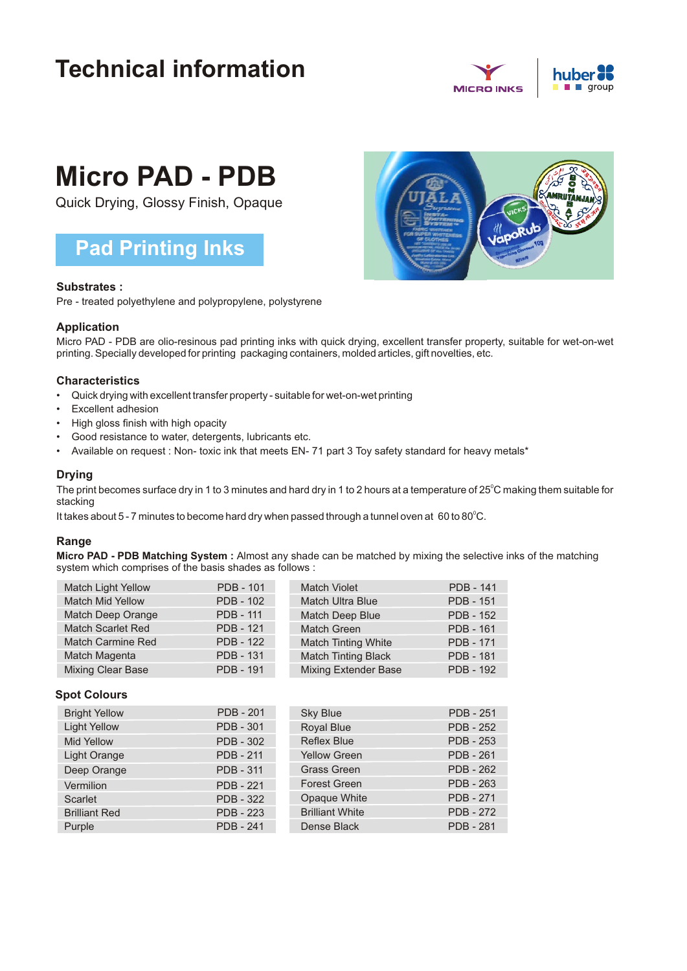## **Technical information**



# **Micro PAD - PDB**

Quick Drying, Glossy Finish, Opaque

### **Pad Printing Inks**

#### **Substrates :**

Pre - treated polyethylene and polypropylene, polystyrene

#### **Application**

Micro PAD - PDB are olio-resinous pad printing inks with quick drying, excellent transfer property, suitable for wet-on-wet printing. Specially developed for printing packaging containers, molded articles, gift novelties, etc.

#### **Characteristics**

- Quick drying with excellent transfer property suitable for wet-on-wet printing
- Excellent adhesion
- High gloss finish with high opacity
- Good resistance to water, detergents, lubricants etc.
- Available on request : Non- toxic ink that meets EN- 71 part 3 Toy safety standard for heavy metals\*

#### **Drying**

The print becomes surface dry in 1 to 3 minutes and hard dry in 1 to 2 hours at a temperature of 25 $^{\circ}$ C making them suitable for stacking

It takes about 5 - 7 minutes to become hard dry when passed through a tunnel oven at 60 to 80 $^{\circ}$ C.

#### **Range**

**Micro PAD - PDB Matching System :** Almost any shade can be matched by mixing the selective inks of the matching system which comprises of the basis shades as follows :

| <b>Match Light Yellow</b> | <b>PDB - 101</b> | <b>Match Violet</b>         | <b>PDB - 141</b> |
|---------------------------|------------------|-----------------------------|------------------|
| Match Mid Yellow          | <b>PDB - 102</b> | <b>Match Ultra Blue</b>     | <b>PDB - 151</b> |
| Match Deep Orange         | <b>PDB - 111</b> | Match Deep Blue             | <b>PDB - 152</b> |
| <b>Match Scarlet Red</b>  | <b>PDB - 121</b> | <b>Match Green</b>          | <b>PDB - 161</b> |
| <b>Match Carmine Red</b>  | <b>PDB - 122</b> | Match Tinting White         | <b>PDB - 171</b> |
| Match Magenta             | <b>PDB - 131</b> | <b>Match Tinting Black</b>  | <b>PDB - 181</b> |
| <b>Mixing Clear Base</b>  | <b>PDB - 191</b> | <b>Mixing Extender Base</b> | <b>PDB - 192</b> |

#### **Spot Colours**

| <b>Bright Yellow</b> | <b>PDB - 201</b> | <b>Sky Blue</b>        | <b>PDB - 251</b> |
|----------------------|------------------|------------------------|------------------|
| <b>Light Yellow</b>  | <b>PDB - 301</b> | Royal Blue             | <b>PDB - 252</b> |
| <b>Mid Yellow</b>    | <b>PDB - 302</b> | <b>Reflex Blue</b>     | <b>PDB - 253</b> |
| <b>Light Orange</b>  | <b>PDB - 211</b> | <b>Yellow Green</b>    | <b>PDB - 261</b> |
| Deep Orange          | <b>PDB - 311</b> | <b>Grass Green</b>     | <b>PDB - 262</b> |
| Vermilion            | <b>PDB - 221</b> | <b>Forest Green</b>    | <b>PDB - 263</b> |
| Scarlet              | <b>PDB - 322</b> | Opaque White           | <b>PDB - 271</b> |
| <b>Brilliant Red</b> | <b>PDB - 223</b> | <b>Brilliant White</b> | <b>PDB - 272</b> |
| Purple               | <b>PDB - 241</b> | Dense Black            | <b>PDB - 281</b> |